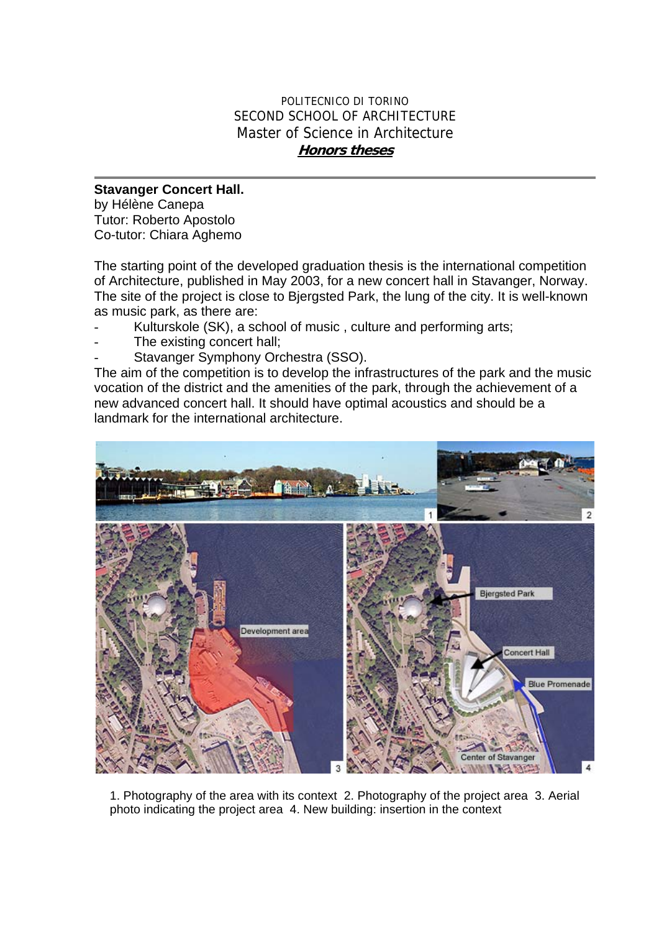## POLITECNICO DI TORINO SECOND SCHOOL OF ARCHITECTURE Master of Science in Architecture **Honors theses**

## **Stavanger Concert Hall.**

by Hélène Canepa Tutor: Roberto Apostolo Co-tutor: Chiara Aghemo

The starting point of the developed graduation thesis is the international competition of Architecture, published in May 2003, for a new concert hall in Stavanger, Norway. The site of the project is close to Bjergsted Park, the lung of the city. It is well-known as music park, as there are:

- Kulturskole (SK), a school of music, culture and performing arts;
- The existing concert hall;
- Stavanger Symphony Orchestra (SSO).

The aim of the competition is to develop the infrastructures of the park and the music vocation of the district and the amenities of the park, through the achievement of a new advanced concert hall. It should have optimal acoustics and should be a landmark for the international architecture.



1. Photography of the area with its context 2. Photography of the project area 3. Aerial photo indicating the project area 4. New building: insertion in the context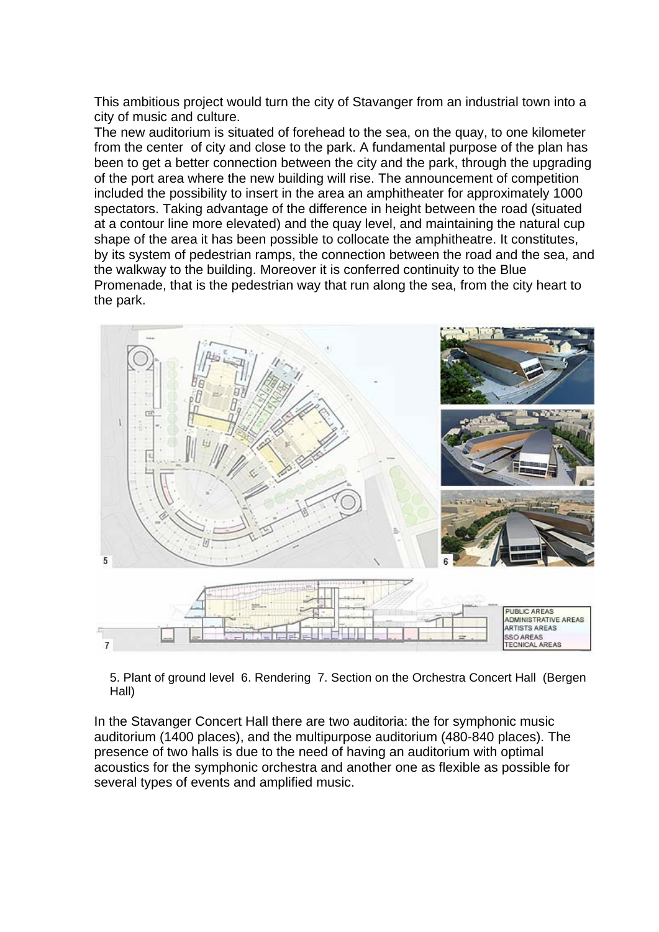This ambitious project would turn the city of Stavanger from an industrial town into a city of music and culture.

The new auditorium is situated of forehead to the sea, on the quay, to one kilometer from the center of city and close to the park. A fundamental purpose of the plan has been to get a better connection between the city and the park, through the upgrading of the port area where the new building will rise. The announcement of competition included the possibility to insert in the area an amphitheater for approximately 1000 spectators. Taking advantage of the difference in height between the road (situated at a contour line more elevated) and the quay level, and maintaining the natural cup shape of the area it has been possible to collocate the amphitheatre. It constitutes, by its system of pedestrian ramps, the connection between the road and the sea, and the walkway to the building. Moreover it is conferred continuity to the Blue Promenade, that is the pedestrian way that run along the sea, from the city heart to the park.



5. Plant of ground level 6. Rendering 7. Section on the Orchestra Concert Hall (Bergen Hall)

In the Stavanger Concert Hall there are two auditoria: the for symphonic music auditorium (1400 places), and the multipurpose auditorium (480-840 places). The presence of two halls is due to the need of having an auditorium with optimal acoustics for the symphonic orchestra and another one as flexible as possible for several types of events and amplified music.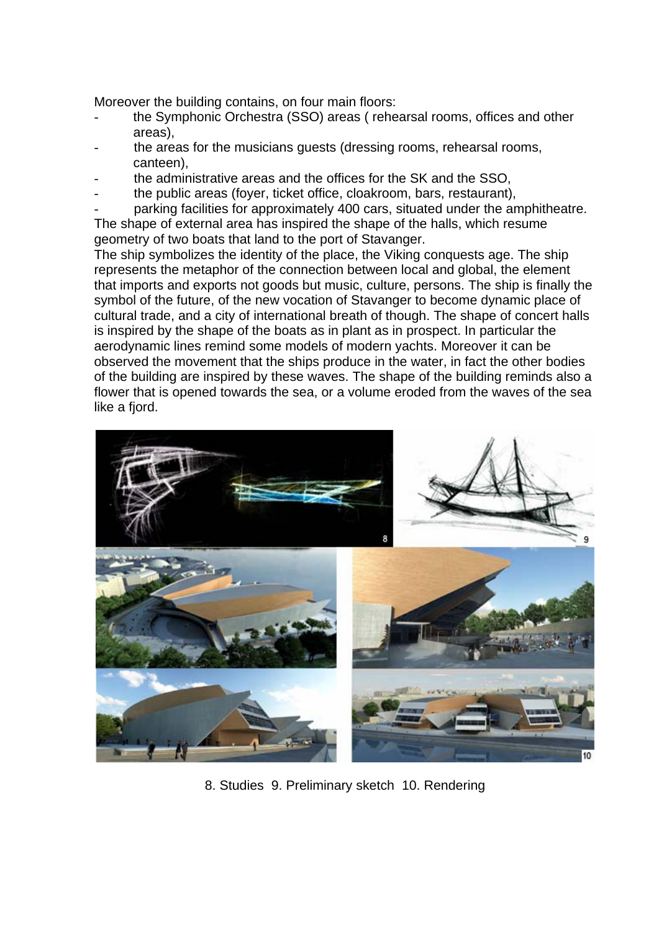Moreover the building contains, on four main floors:

- the Symphonic Orchestra (SSO) areas ( rehearsal rooms, offices and other areas),
- the areas for the musicians quests (dressing rooms, rehearsal rooms, canteen),
- the administrative areas and the offices for the SK and the SSO.
- the public areas (foyer, ticket office, cloakroom, bars, restaurant),
- parking facilities for approximately 400 cars, situated under the amphitheatre.

The shape of external area has inspired the shape of the halls, which resume geometry of two boats that land to the port of Stavanger.

The ship symbolizes the identity of the place, the Viking conquests age. The ship represents the metaphor of the connection between local and global, the element that imports and exports not goods but music, culture, persons. The ship is finally the symbol of the future, of the new vocation of Stavanger to become dynamic place of cultural trade, and a city of international breath of though. The shape of concert halls is inspired by the shape of the boats as in plant as in prospect. In particular the aerodynamic lines remind some models of modern yachts. Moreover it can be observed the movement that the ships produce in the water, in fact the other bodies of the building are inspired by these waves. The shape of the building reminds also a flower that is opened towards the sea, or a volume eroded from the waves of the sea like a fiord.



8. Studies 9. Preliminary sketch 10. Rendering